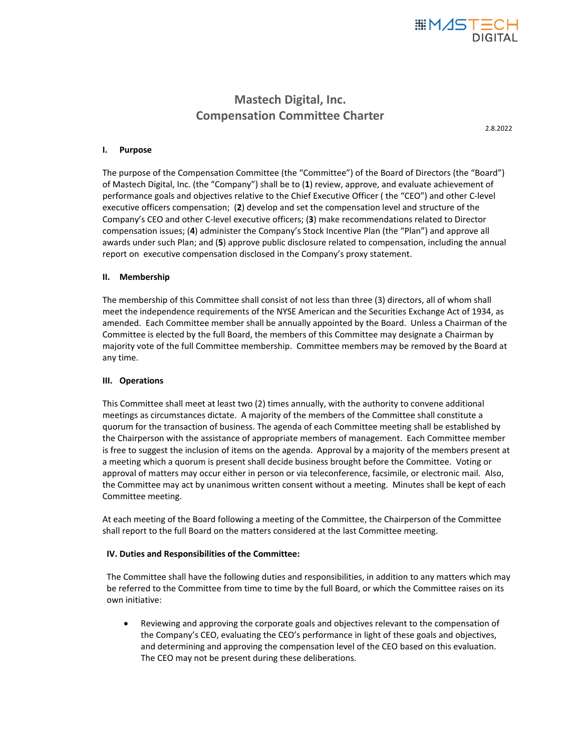

# **Mastech Digital, Inc. Compensation Committee Charter**

2.8.2022

### **I. Purpose**

The purpose of the Compensation Committee (the "Committee") of the Board of Directors (the "Board") of Mastech Digital, Inc. (the "Company") shall be to (**1**) review, approve, and evaluate achievement of performance goals and objectives relative to the Chief Executive Officer ( the "CEO") and other C-level executive officers compensation; (**2**) develop and set the compensation level and structure of the Company's CEO and other C-level executive officers; (**3**) make recommendations related to Director compensation issues; (**4**) administer the Company's Stock Incentive Plan (the "Plan") and approve all awards under such Plan; and (**5**) approve public disclosure related to compensation, including the annual report on executive compensation disclosed in the Company's proxy statement.

### **II. Membership**

The membership of this Committee shall consist of not less than three (3) directors, all of whom shall meet the independence requirements of the NYSE American and the Securities Exchange Act of 1934, as amended. Each Committee member shall be annually appointed by the Board. Unless a Chairman of the Committee is elected by the full Board, the members of this Committee may designate a Chairman by majority vote of the full Committee membership. Committee members may be removed by the Board at any time.

## **III. Operations**

This Committee shall meet at least two (2) times annually, with the authority to convene additional meetings as circumstances dictate. A majority of the members of the Committee shall constitute a quorum for the transaction of business. The agenda of each Committee meeting shall be established by the Chairperson with the assistance of appropriate members of management. Each Committee member is free to suggest the inclusion of items on the agenda. Approval by a majority of the members present at a meeting which a quorum is present shall decide business brought before the Committee. Voting or approval of matters may occur either in person or via teleconference, facsimile, or electronic mail. Also, the Committee may act by unanimous written consent without a meeting. Minutes shall be kept of each Committee meeting.

At each meeting of the Board following a meeting of the Committee, the Chairperson of the Committee shall report to the full Board on the matters considered at the last Committee meeting.

#### **IV. Duties and Responsibilities of the Committee:**

The Committee shall have the following duties and responsibilities, in addition to any matters which may be referred to the Committee from time to time by the full Board, or which the Committee raises on its own initiative:

• Reviewing and approving the corporate goals and objectives relevant to the compensation of the Company's CEO, evaluating the CEO's performance in light of these goals and objectives, and determining and approving the compensation level of the CEO based on this evaluation. The CEO may not be present during these deliberations.